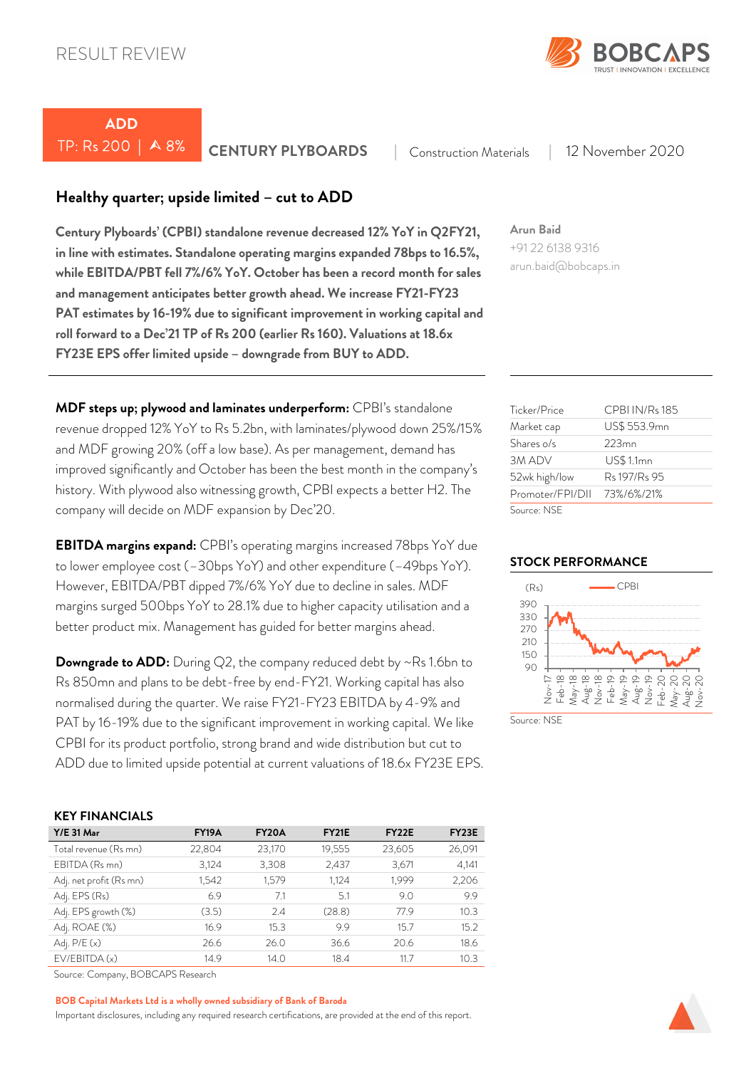

# *ADD*

TP: Rs 200 | 8% *CENTURY PLYBOARDS* <sup>|</sup> Construction Materials | 12 November 2020

### *Healthy quarter; upside limited – cut to ADD*

*Century Plyboards' (CPBI) standalone revenue decreased 12% YoY in Q2FY21, in line with estimates. Standalone operating margins expanded 78bps to 16.5%, while EBITDA/PBT fell 7%/6% YoY. October has been a record month for sales and management anticipates better growth ahead. We increase FY21-FY23 PAT estimates by 16-19% due to significant improvement in working capital and roll forward to a Dec'21 TP of Rs 200 (earlier Rs 160). Valuations at 18.6x FY23E EPS offer limited upside – downgrade from BUY to ADD.* 

*MDF steps up; plywood and laminates underperform:* CPBI's standalone revenue dropped 12% YoY to Rs 5.2bn, with laminates/plywood down 25%/15% and MDF growing 20% (off a low base). As per management, demand has improved significantly and October has been the best month in the company's history. With plywood also witnessing growth, CPBI expects a better H2. The company will decide on MDF expansion by Dec'20.

*EBITDA margins expand:* CPBI's operating margins increased 78bps YoY due to lower employee cost (–30bps YoY) and other expenditure (–49bps YoY). However, EBITDA/PBT dipped 7%/6% YoY due to decline in sales. MDF margins surged 500bps YoY to 28.1% due to higher capacity utilisation and a better product mix. Management has guided for better margins ahead.

**Downgrade to ADD:** During Q2, the company reduced debt by ~Rs 1.6bn to Rs 850mn and plans to be debt-free by end-FY21. Working capital has also normalised during the quarter. We raise FY21-FY23 EBITDA by 4-9% and PAT by 16-19% due to the significant improvement in working capital. We like CPBI for its product portfolio, strong brand and wide distribution but cut to ADD due to limited upside potential at current valuations of 18.6x FY23E EPS.

### *KEY FINANCIALS*

| $Y/E$ 31 Mar            | <b>FY19A</b> | FY <sub>20</sub> A | <b>FY21E</b> | <b>FY22E</b> | FY <sub>23</sub> E |
|-------------------------|--------------|--------------------|--------------|--------------|--------------------|
| Total revenue (Rs mn)   | 22,804       | 23,170             | 19,555       | 23,605       | 26,091             |
| EBITDA (Rs mn)          | 3,124        | 3,308              | 2,437        | 3,671        | 4,141              |
| Adj. net profit (Rs mn) | 1,542        | 1,579              | 1,124        | 1,999        | 2,206              |
| Adj. EPS (Rs)           | 6.9          | 7.1                | 5.1          | 9.0          | 9.9                |
| Adj. EPS growth (%)     | (3.5)        | 2.4                | (28.8)       | 77.9         | 10.3               |
| Adj. ROAE (%)           | 16.9         | 15.3               | 9.9          | 15.7         | 15.2               |
| Adj. $P/E(x)$           | 26.6         | 26.0               | 36.6         | 20.6         | 18.6               |
| EV/EBITDA(x)            | 14.9         | 14.0               | 18.4         | 11.7         | 10.3               |

Source: Company, BOBCAPS Research

#### *BOB Capital Markets Ltd is a wholly owned subsidiary of Bank of Baroda*

Important disclosures, including any required research certifications, are provided at the end of this report.

### *Arun Baid*

+91 22 6138 9316 arun.baid@bobcaps.in

| Ticker/Price     | CPBI IN/Rs 185   |
|------------------|------------------|
| Market cap       | US\$ 553.9mn     |
| Shares o/s       | $223$ mn         |
| 3M ADV           | <b>US\$1.1mn</b> |
| 52wk high/low    | Rs 197/Rs 95     |
| Promoter/FPI/DII | 73%/6%/21%       |
| Source: NSF      |                  |

### *STOCK PERFORMANCE*



Source: NSF

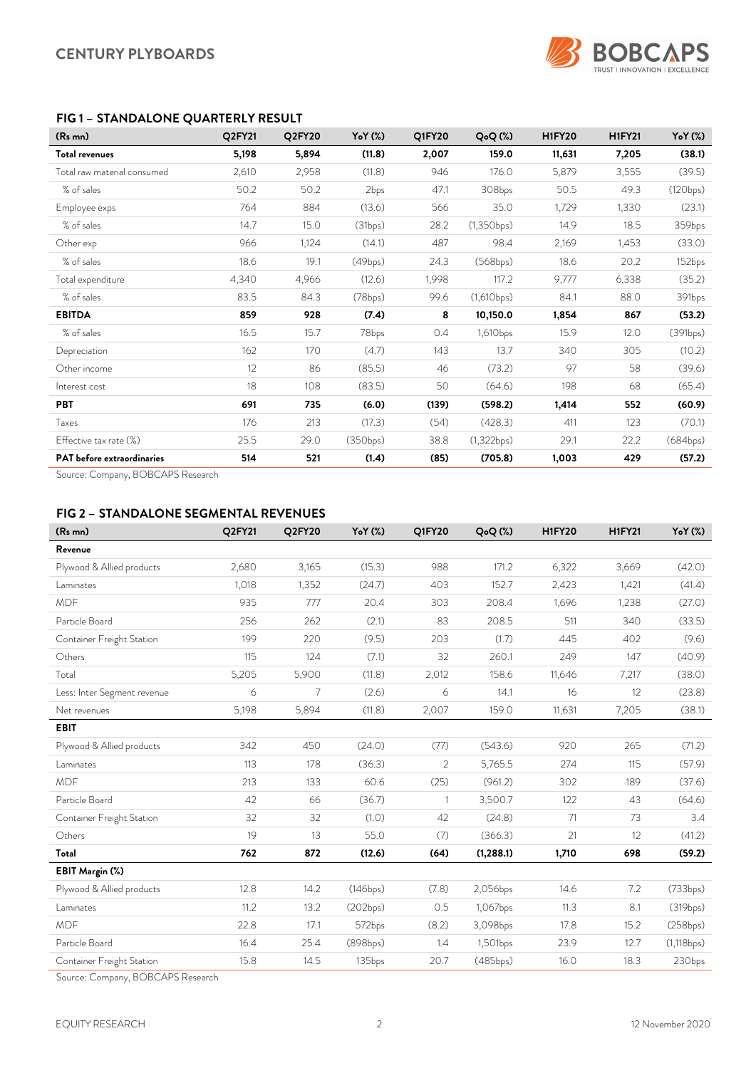

### *FIG 1 – STANDALONE QUARTERLY RESULT*

| (R <sub>s</sub> mn)               | Q2FY21 | Q2FY20 | Y <sub>o</sub> Y (%) | Q1FY20 | Q <sub>o</sub> Q(%) | <b>H1FY20</b> | <b>H1FY21</b> | Y <sub>o</sub> Y (%) |
|-----------------------------------|--------|--------|----------------------|--------|---------------------|---------------|---------------|----------------------|
| <b>Total revenues</b>             | 5,198  | 5,894  | (11.8)               | 2,007  | 159.0               | 11,631        | 7,205         | (38.1)               |
| Total raw material consumed       | 2,610  | 2,958  | (11.8)               | 946    | 176.0               | 5,879         | 3,555         | (39.5)               |
| % of sales                        | 50.2   | 50.2   | 2bps                 | 47.1   | 308bps              | 50.5          | 49.3          | (120bps)             |
| Employee exps                     | 764    | 884    | (13.6)               | 566    | 35.0                | 1,729         | 1,330         | (23.1)               |
| % of sales                        | 14.7   | 15.0   | (31bps)              | 28.2   | (1,350bps)          | 14.9          | 18.5          | 359bps               |
| Other exp                         | 966    | 1,124  | (14.1)               | 487    | 98.4                | 2,169         | 1,453         | (33.0)               |
| % of sales                        | 18.6   | 19.1   | (49bps)              | 24.3   | (568bps)            | 18.6          | 20.2          | 152bps               |
| Total expenditure                 | 4,340  | 4,966  | (12.6)               | 1,998  | 117.2               | 9,777         | 6,338         | (35.2)               |
| % of sales                        | 83.5   | 84.3   | (78bps)              | 99.6   | (1,610bps)          | 84.1          | 88.0          | 391bps               |
| <b>EBITDA</b>                     | 859    | 928    | (7.4)                | 8      | 10,150.0            | 1,854         | 867           | (53.2)               |
| % of sales                        | 16.5   | 15.7   | 78bps                | 0.4    | 1,610bps            | 15.9          | 12.0          | (391bps)             |
| Depreciation                      | 162    | 170    | (4.7)                | 143    | 13.7                | 340           | 305           | (10.2)               |
| Other income                      | 12     | 86     | (85.5)               | 46     | (73.2)              | 97            | 58            | (39.6)               |
| Interest cost                     | 18     | 108    | (83.5)               | 50     | (64.6)              | 198           | 68            | (65.4)               |
| <b>PBT</b>                        | 691    | 735    | (6.0)                | (139)  | (598.2)             | 1,414         | 552           | (60.9)               |
| Taxes                             | 176    | 213    | (17.3)               | (54)   | (428.3)             | 411           | 123           | (70.1)               |
| Effective tax rate (%)            | 25.5   | 29.0   | (350bps)             | 38.8   | (1,322bps)          | 29.1          | 22.2          | (684bps)             |
| <b>PAT</b> before extraordinaries | 514    | 521    | (1.4)                | (85)   | (705.8)             | 1,003         | 429           | (57.2)               |

Source: Company, BOBCAPS Research

### *FIG 2 – STANDALONE SEGMENTAL REVENUES*

| (Rs mn)                     | Q2FY21 | Q2FY20 | Y <sub>o</sub> Y (%) | Q1FY20         | Q <sub>o</sub> Q(%) | <b>H1FY20</b> | <b>H1FY21</b> | $YoY$ $(\%)$ |
|-----------------------------|--------|--------|----------------------|----------------|---------------------|---------------|---------------|--------------|
| Revenue                     |        |        |                      |                |                     |               |               |              |
| Plywood & Allied products   | 2,680  | 3,165  | (15.3)               | 988            | 171.2               | 6,322         | 3,669         | (42.0)       |
| Laminates                   | 1,018  | 1,352  | (24.7)               | 403            | 152.7               | 2,423         | 1,421         | (41.4)       |
| <b>MDF</b>                  | 935    | 777    | 20.4                 | 303            | 208.4               | 1,696         | 1,238         | (27.0)       |
| Particle Board              | 256    | 262    | (2.1)                | 83             | 208.5               | 511           | 340           | (33.5)       |
| Container Freight Station   | 199    | 220    | (9.5)                | 203            | (1.7)               | 445           | 402           | (9.6)        |
| Others                      | 115    | 124    | (7.1)                | 32             | 260.1               | 249           | 147           | (40.9)       |
| Total                       | 5,205  | 5,900  | (11.8)               | 2,012          | 158.6               | 11,646        | 7,217         | (38.0)       |
| Less: Inter Segment revenue | 6      | 7      | (2.6)                | 6              | 14.1                | 16            | 12            | (23.8)       |
| Net revenues                | 5,198  | 5,894  | (11.8)               | 2,007          | 159.0               | 11,631        | 7,205         | (38.1)       |
| <b>EBIT</b>                 |        |        |                      |                |                     |               |               |              |
| Plywood & Allied products   | 342    | 450    | (24.0)               | (77)           | (543.6)             | 920           | 265           | (71.2)       |
| Laminates                   | 113    | 178    | (36.3)               | $\overline{2}$ | 5,765.5             | 274           | 115           | (57.9)       |
| <b>MDF</b>                  | 213    | 133    | 60.6                 | (25)           | (961.2)             | 302           | 189           | (37.6)       |
| Particle Board              | 42     | 66     | (36.7)               | $\mathbf{1}$   | 3,500.7             | 122           | 43            | (64.6)       |
| Container Freight Station   | 32     | 32     | (1.0)                | 42             | (24.8)              | 71            | 73            | 3.4          |
| Others                      | 19     | 13     | 55.0                 | (7)            | (366.3)             | 21            | 12            | (41.2)       |
| Total                       | 762    | 872    | (12.6)               | (64)           | (1,288.1)           | 1,710         | 698           | (59.2)       |
| EBIT Margin (%)             |        |        |                      |                |                     |               |               |              |
| Plywood & Allied products   | 12.8   | 14.2   | (146bps)             | (7.8)          | 2,056bps            | 14.6          | 7.2           | (733bps)     |
| Laminates                   | 11.2   | 13.2   | (202bps)             | 0.5            | 1,067bps            | 11.3          | 8.1           | (319bps)     |
| <b>MDF</b>                  | 22.8   | 17.1   | 572bps               | (8.2)          | 3,098bps            | 17.8          | 15.2          | (258bps)     |
| Particle Board              | 16.4   | 25.4   | (898bps)             | 1.4            | 1,501bps            | 23.9          | 12.7          | (1, 118 bps) |
| Container Freight Station   | 15.8   | 14.5   | 135bps               | 20.7           | (485bps)            | 16.0          | 18.3          | 230bps       |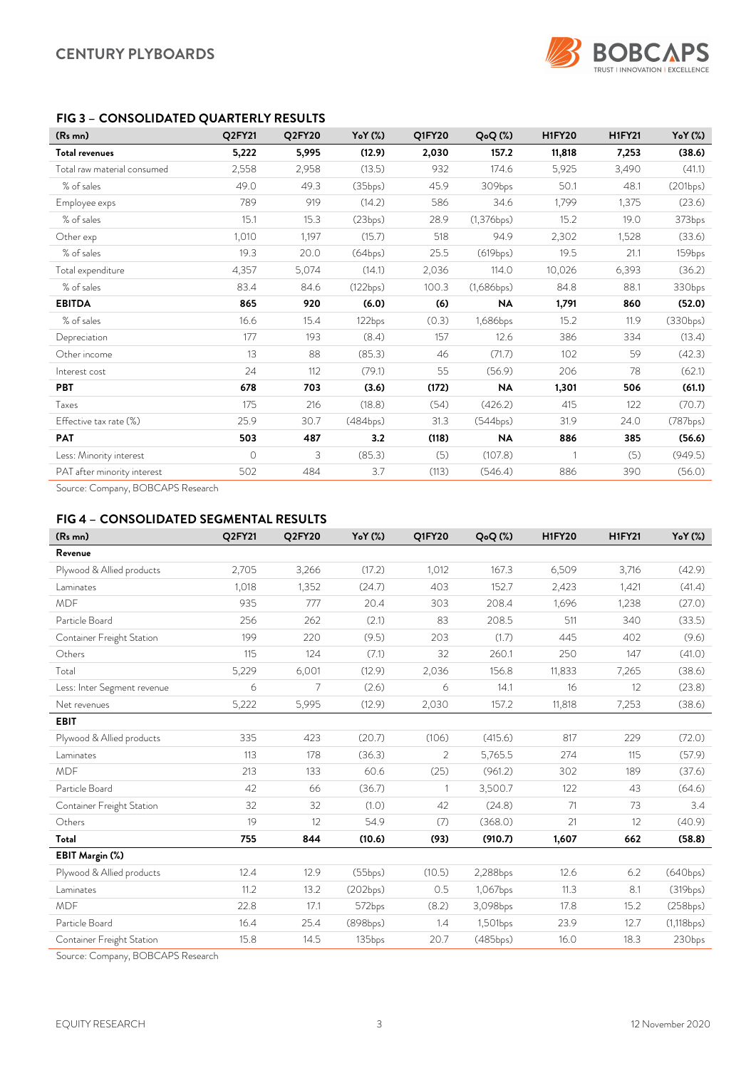

### *FIG 3 – CONSOLIDATED QUARTERLY RESULTS*

| $(Rs$ mn)                   | Q2FY21   | Q2FY20 | YoY (%)  | Q1FY20 | $Q_0Q(\%)$ | <b>H1FY20</b> | <b>H1FY21</b> | $YoY$ $(\%)$ |
|-----------------------------|----------|--------|----------|--------|------------|---------------|---------------|--------------|
| <b>Total revenues</b>       | 5,222    | 5,995  | (12.9)   | 2,030  | 157.2      | 11,818        | 7,253         | (38.6)       |
| Total raw material consumed | 2,558    | 2,958  | (13.5)   | 932    | 174.6      | 5,925         | 3,490         | (41.1)       |
| % of sales                  | 49.0     | 49.3   | (35bps)  | 45.9   | 309bps     | 50.1          | 48.1          | (201bps)     |
| Employee exps               | 789      | 919    | (14.2)   | 586    | 34.6       | 1,799         | 1,375         | (23.6)       |
| % of sales                  | 15.1     | 15.3   | (23bps)  | 28.9   | (1,376bps) | 15.2          | 19.0          | 373bps       |
| Other exp                   | 1,010    | 1,197  | (15.7)   | 518    | 94.9       | 2,302         | 1,528         | (33.6)       |
| % of sales                  | 19.3     | 20.0   | (64bps)  | 25.5   | (619bps)   | 19.5          | 21.1          | 159bps       |
| Total expenditure           | 4,357    | 5,074  | (14.1)   | 2,036  | 114.0      | 10,026        | 6,393         | (36.2)       |
| % of sales                  | 83.4     | 84.6   | (122bps) | 100.3  | (1,686bps) | 84.8          | 88.1          | 330bps       |
| <b>EBITDA</b>               | 865      | 920    | (6.0)    | (6)    | <b>NA</b>  | 1,791         | 860           | (52.0)       |
| % of sales                  | 16.6     | 15.4   | 122bps   | (0.3)  | 1,686bps   | 15.2          | 11.9          | (330bps)     |
| Depreciation                | 177      | 193    | (8.4)    | 157    | 12.6       | 386           | 334           | (13.4)       |
| Other income                | 13       | 88     | (85.3)   | 46     | (71.7)     | 102           | 59            | (42.3)       |
| Interest cost               | 24       | 112    | (79.1)   | 55     | (56.9)     | 206           | 78            | (62.1)       |
| <b>PBT</b>                  | 678      | 703    | (3.6)    | (172)  | NA         | 1,301         | 506           | (61.1)       |
| Taxes                       | 175      | 216    | (18.8)   | (54)   | (426.2)    | 415           | 122           | (70.7)       |
| Effective tax rate (%)      | 25.9     | 30.7   | (484bps) | 31.3   | (544bps)   | 31.9          | 24.0          | (787bps)     |
| <b>PAT</b>                  | 503      | 487    | 3.2      | (118)  | <b>NA</b>  | 886           | 385           | (56.6)       |
| Less: Minority interest     | $\Omega$ | 3      | (85.3)   | (5)    | (107.8)    |               | (5)           | (949.5)      |
| PAT after minority interest | 502      | 484    | 3.7      | (113)  | (546.4)    | 886           | 390           | (56.0)       |

Source: Company, BOBCAPS Research

### *FIG 4 – CONSOLIDATED SEGMENTAL RESULTS*

| (Rs mn)                     | Q2FY21 | Q2FY20 | YoY (%)  | <b>Q1FY20</b> | $QoQ$ $(\%)$ | <b>H1FY20</b> | <b>H1FY21</b> | YoY (%)    |
|-----------------------------|--------|--------|----------|---------------|--------------|---------------|---------------|------------|
| Revenue                     |        |        |          |               |              |               |               |            |
| Plywood & Allied products   | 2,705  | 3,266  | (17.2)   | 1,012         | 167.3        | 6,509         | 3,716         | (42.9)     |
| Laminates                   | 1,018  | 1,352  | (24.7)   | 403           | 152.7        | 2,423         | 1,421         | (41.4)     |
| <b>MDF</b>                  | 935    | 777    | 20.4     | 303           | 208.4        | 1,696         | 1,238         | (27.0)     |
| Particle Board              | 256    | 262    | (2.1)    | 83            | 208.5        | 511           | 340           | (33.5)     |
| Container Freight Station   | 199    | 220    | (9.5)    | 203           | (1.7)        | 445           | 402           | (9.6)      |
| Others                      | 115    | 124    | (7.1)    | 32            | 260.1        | 250           | 147           | (41.0)     |
| Total                       | 5,229  | 6,001  | (12.9)   | 2,036         | 156.8        | 11,833        | 7,265         | (38.6)     |
| Less: Inter Segment revenue | 6      | 7      | (2.6)    | 6             | 14.1         | 16            | 12            | (23.8)     |
| Net revenues                | 5,222  | 5,995  | (12.9)   | 2,030         | 157.2        | 11,818        | 7,253         | (38.6)     |
| <b>EBIT</b>                 |        |        |          |               |              |               |               |            |
| Plywood & Allied products   | 335    | 423    | (20.7)   | (106)         | (415.6)      | 817           | 229           | (72.0)     |
| Laminates                   | 113    | 178    | (36.3)   | 2             | 5,765.5      | 274           | 115           | (57.9)     |
| <b>MDF</b>                  | 213    | 133    | 60.6     | (25)          | (961.2)      | 302           | 189           | (37.6)     |
| Particle Board              | 42     | 66     | (36.7)   | -1            | 3,500.7      | 122           | 43            | (64.6)     |
| Container Freight Station   | 32     | 32     | (1.0)    | 42            | (24.8)       | 71            | 73            | 3.4        |
| Others                      | 19     | 12     | 54.9     | (7)           | (368.0)      | 21            | 12            | (40.9)     |
| Total                       | 755    | 844    | (10.6)   | (93)          | (910.7)      | 1,607         | 662           | (58.8)     |
| EBIT Margin (%)             |        |        |          |               |              |               |               |            |
| Plywood & Allied products   | 12.4   | 12.9   | (55bps)  | (10.5)        | 2,288bps     | 12.6          | 6.2           | (640bps)   |
| Laminates                   | 11.2   | 13.2   | (202bps) | 0.5           | 1,067bps     | 11.3          | 8.1           | (319bps)   |
| <b>MDF</b>                  | 22.8   | 17.1   | 572bps   | (8.2)         | 3,098bps     | 17.8          | 15.2          | (258bps)   |
| Particle Board              | 16.4   | 25.4   | (898bps) | 1.4           | 1,501bps     | 23.9          | 12.7          | (1,118bps) |
| Container Freight Station   | 15.8   | 14.5   | 135bps   | 20.7          | (485bps)     | 16.0          | 18.3          | 230bps     |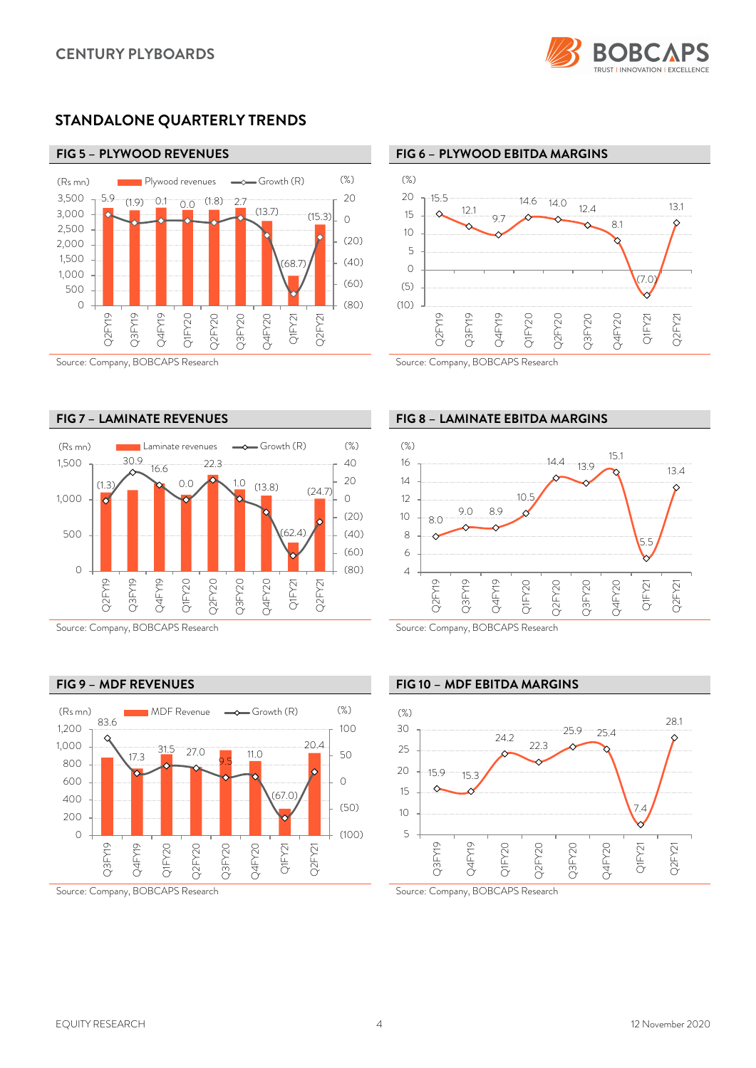

### *STANDALONE QUARTERLY TRENDS*



#### Source: Company, BOBCAPS Research Source: Company, BOBCAPS Research





Source: Company, BOBCAPS Research Source: Company, BOBCAPS Research

### *FIG 5 – PLYWOOD REVENUES FIG 6 – PLYWOOD EBITDA MARGINS*



### *FIG 7 – LAMINATE REVENUES FIG 8 – LAMINATE EBITDA MARGINS*



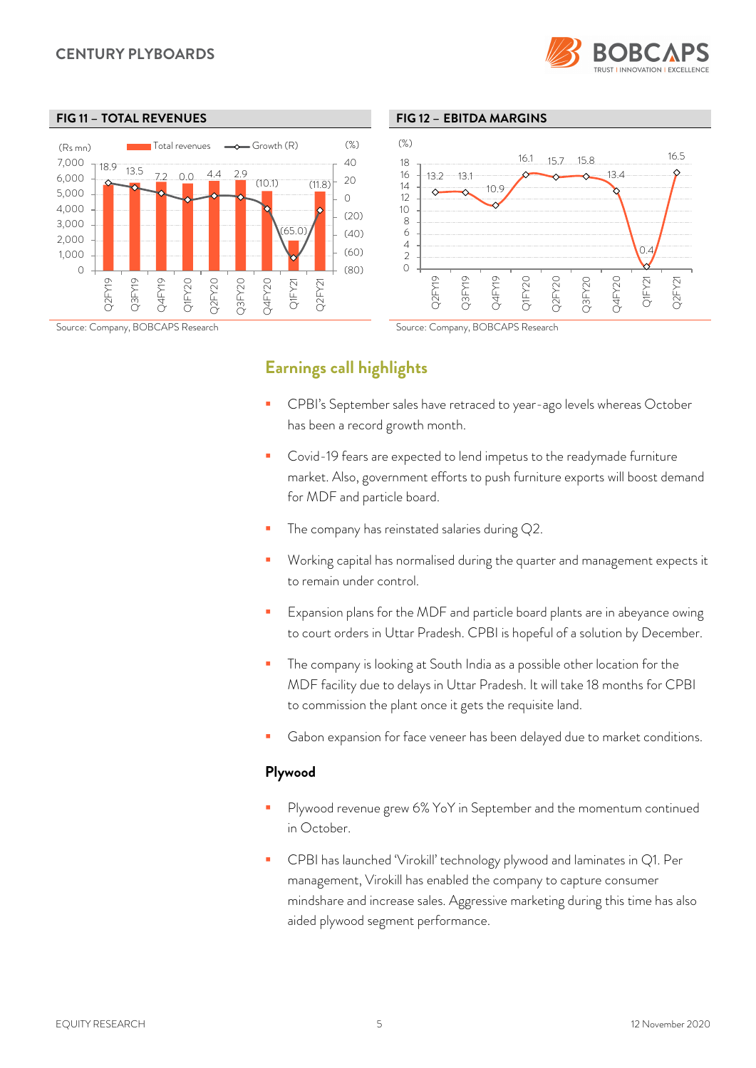### *CENTURY PLYBOARDS*





#### *FIG 11 – TOTAL REVENUES FIG 12 – EBITDA MARGINS*



### *Earnings call highlights*

- CPBI's September sales have retraced to year-ago levels whereas October has been a record growth month.
- Covid-19 fears are expected to lend impetus to the readymade furniture market. Also, government efforts to push furniture exports will boost demand for MDF and particle board.
- The company has reinstated salaries during Q2.
- Working capital has normalised during the quarter and management expects it to remain under control.
- Expansion plans for the MDF and particle board plants are in abeyance owing to court orders in Uttar Pradesh. CPBI is hopeful of a solution by December.
- **The company is looking at South India as a possible other location for the** MDF facility due to delays in Uttar Pradesh. It will take 18 months for CPBI to commission the plant once it gets the requisite land.
- Gabon expansion for face veneer has been delayed due to market conditions.

### *Plywood*

- Plywood revenue grew 6% YoY in September and the momentum continued in October.
- CPBI has launched 'Virokill' technology plywood and laminates in Q1. Per management, Virokill has enabled the company to capture consumer mindshare and increase sales. Aggressive marketing during this time has also aided plywood segment performance.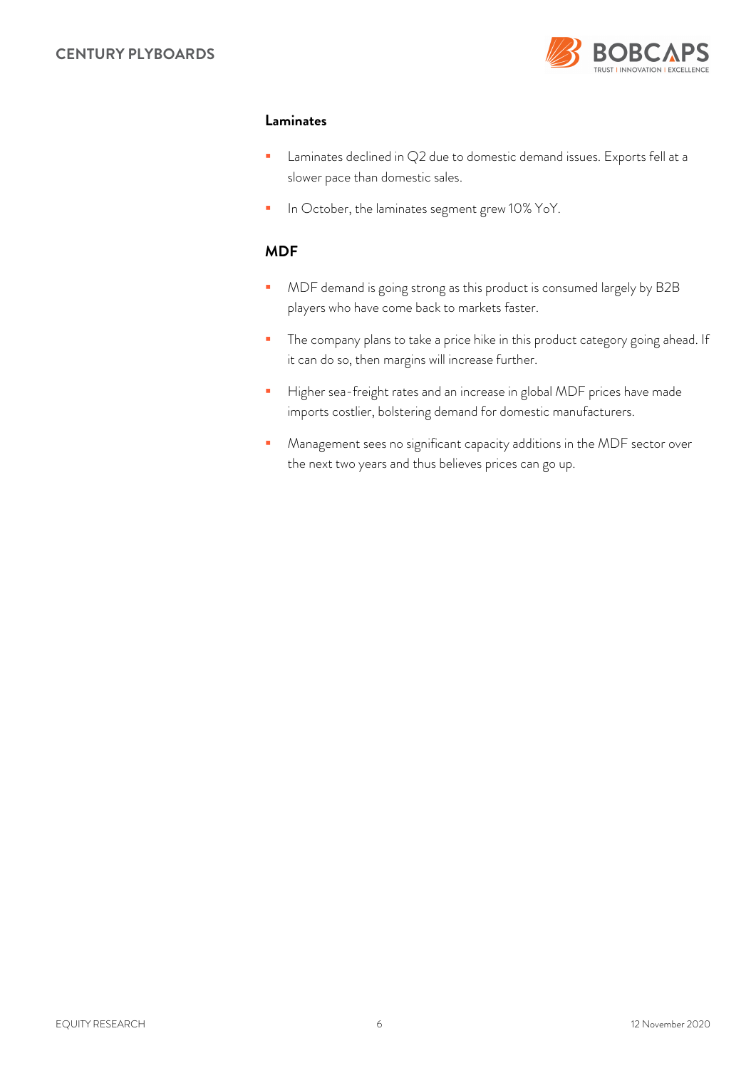

### *Laminates*

- **Laminates declined in Q2 due to domestic demand issues. Exports fell at a** slower pace than domestic sales.
- In October, the laminates segment grew 10% YoY.

### *MDF*

- **MDF** demand is going strong as this product is consumed largely by B2B players who have come back to markets faster.
- **The company plans to take a price hike in this product category going ahead. If** it can do so, then margins will increase further.
- Higher sea-freight rates and an increase in global MDF prices have made imports costlier, bolstering demand for domestic manufacturers.
- **Management sees no significant capacity additions in the MDF sector over** the next two years and thus believes prices can go up.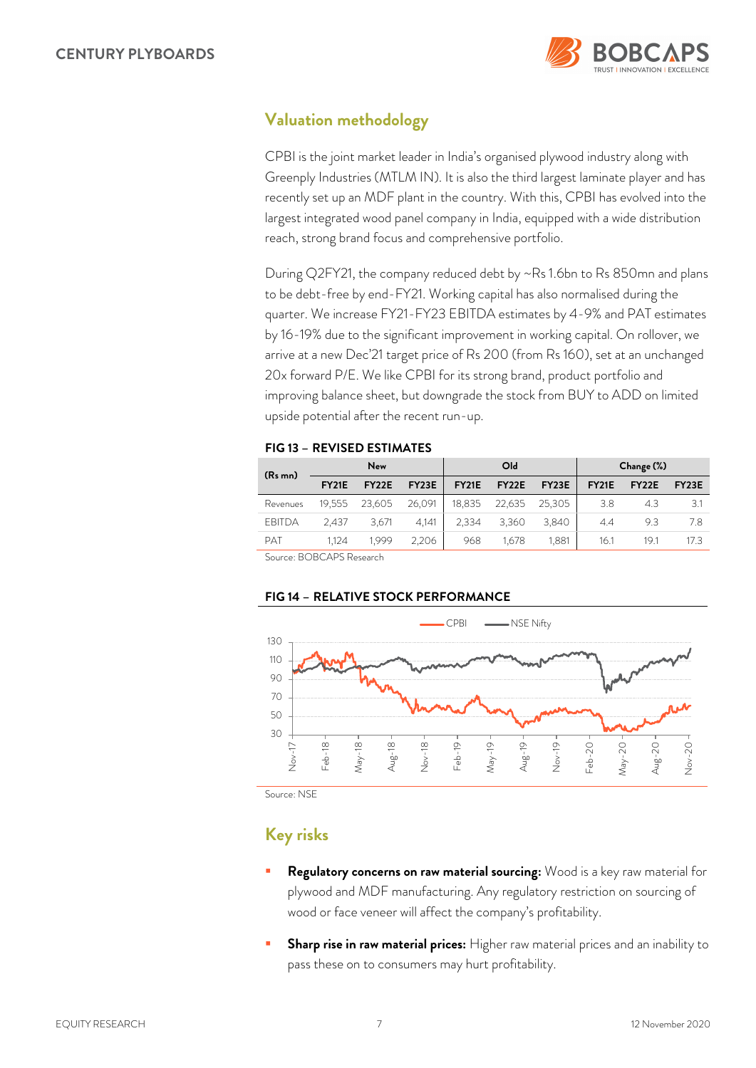

### *Valuation methodology*

CPBI is the joint market leader in India's organised plywood industry along with Greenply Industries (MTLM IN). It is also the third largest laminate player and has recently set up an MDF plant in the country. With this, CPBI has evolved into the largest integrated wood panel company in India, equipped with a wide distribution reach, strong brand focus and comprehensive portfolio.

During Q2FY21, the company reduced debt by ~Rs 1.6bn to Rs 850mn and plans to be debt-free by end-FY21. Working capital has also normalised during the quarter. We increase FY21-FY23 EBITDA estimates by 4-9% and PAT estimates by 16-19% due to the significant improvement in working capital. On rollover, we arrive at a new Dec'21 target price of Rs 200 (from Rs 160), set at an unchanged 20x forward P/E. We like CPBI for its strong brand, product portfolio and improving balance sheet, but downgrade the stock from BUY to ADD on limited upside potential after the recent run-up.

### *FIG 13 – REVISED ESTIMATES*

| (R <sub>s</sub> mn) | <b>New</b>   |              |        | O <sub>ld</sub> |                    |        | Change (%)   |                    |                    |
|---------------------|--------------|--------------|--------|-----------------|--------------------|--------|--------------|--------------------|--------------------|
|                     | <b>FY21E</b> | <b>FY22E</b> | FY23E  | <b>FY21E</b>    | FY <sub>22</sub> E | FY23E  | <b>FY21E</b> | FY <sub>22</sub> E | FY <sub>23</sub> E |
| Revenues            | 19.555       | 23,605       | 26.091 | 18.835          | 22,635             | 25.305 | 3.8          | 4.3                | 3.1                |
| <b>EBITDA</b>       | 2.437        | 3.671        | 4.141  | 2.334           | 3,360              | 3.840  | 4.4          | 9.3                | 7.8                |
| <b>PAT</b>          | 1.124        | 1.999        | 2,206  | 968             | 1.678              | 1,881  | 16.1         | 19.1               | 17.3               |
|                     |              |              |        |                 |                    |        |              |                    |                    |

Source: BOBCAPS Research

### *FIG 14 – RELATIVE STOCK PERFORMANCE*



Source: NSE

## *Key risks*

- *Regulatory concerns on raw material sourcing:* Wood is a key raw material for plywood and MDF manufacturing. Any regulatory restriction on sourcing of wood or face veneer will affect the company's profitability.
- *Sharp rise in raw material prices:* Higher raw material prices and an inability to pass these on to consumers may hurt profitability.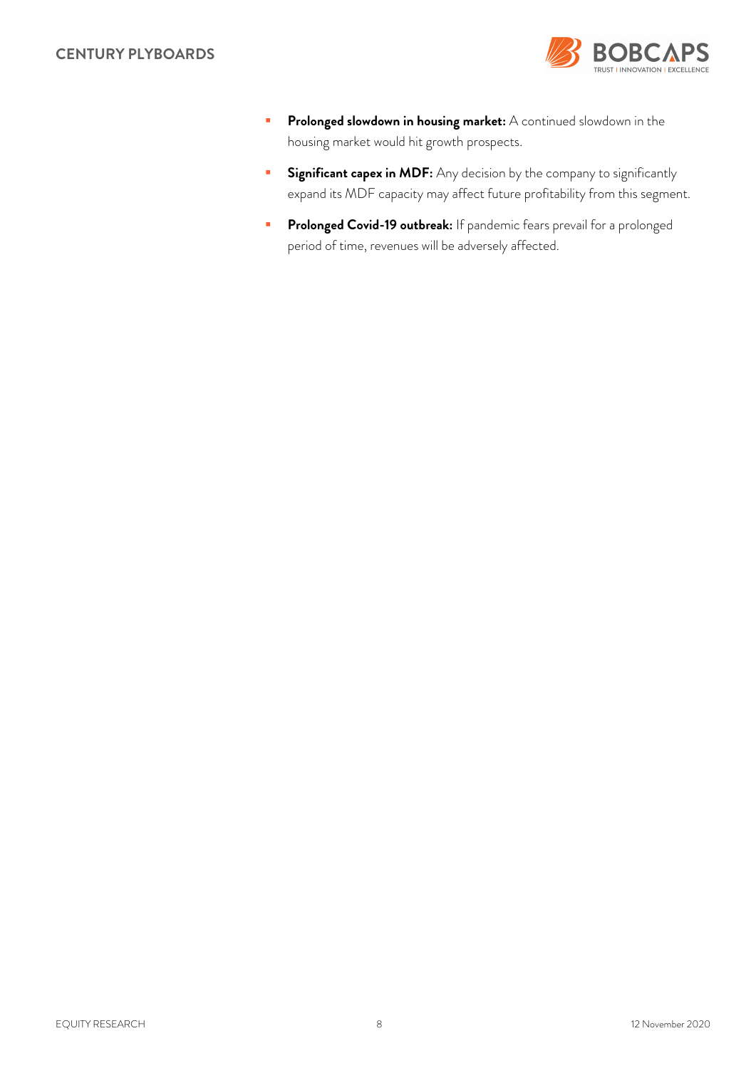

- **Prolonged slowdown in housing market:** A continued slowdown in the housing market would hit growth prospects.
- **Significant capex in MDF:** Any decision by the company to significantly expand its MDF capacity may affect future profitability from this segment.
- **Prolonged Covid-19 outbreak:** If pandemic fears prevail for a prolonged period of time, revenues will be adversely affected.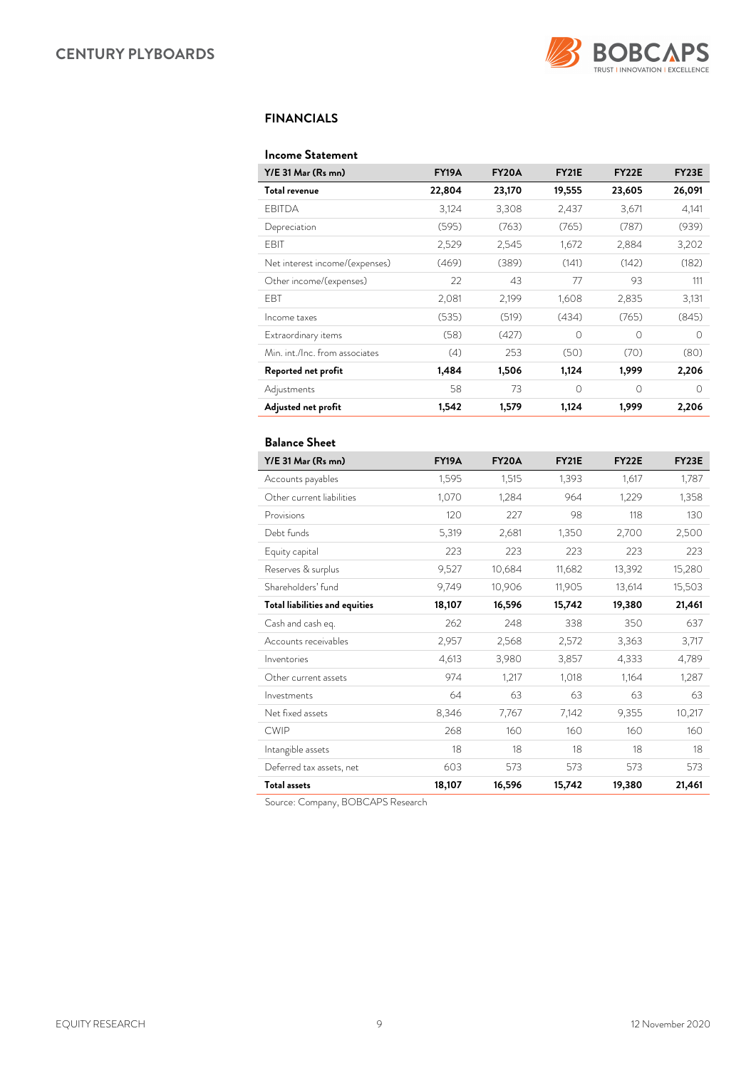

### *FINANCIALS*

### *Income Statement*

| Y/E 31 Mar (Rs mn)             | <b>FY19A</b> | <b>FY20A</b> | <b>FY21E</b> | FY <sub>22</sub> E | <b>FY23E</b> |
|--------------------------------|--------------|--------------|--------------|--------------------|--------------|
| Total revenue                  | 22,804       | 23,170       | 19,555       | 23,605             | 26,091       |
| <b>FBITDA</b>                  | 3,124        | 3,308        | 2,437        | 3,671              | 4,141        |
| Depreciation                   | (595)        | (763)        | (765)        | (787)              | (939)        |
| EBIT                           | 2,529        | 2,545        | 1,672        | 2,884              | 3,202        |
| Net interest income/(expenses) | (469)        | (389)        | (141)        | (142)              | (182)        |
| Other income/(expenses)        | 22           | 43           | 77           | 93                 | 111          |
| <b>FBT</b>                     | 2,081        | 2,199        | 1,608        | 2,835              | 3,131        |
| Income taxes                   | (535)        | (519)        | (434)        | (765)              | (845)        |
| Extraordinary items            | (58)         | (427)        | $\Omega$     | $\Omega$           | $\Omega$     |
| Min. int./Inc. from associates | (4)          | 253          | (50)         | (70)               | (80)         |
| Reported net profit            | 1,484        | 1,506        | 1,124        | 1,999              | 2,206        |
| Adjustments                    | 58           | 73           | $\Omega$     | $\Omega$           | $\bigcap$    |
| Adjusted net profit            | 1,542        | 1,579        | 1,124        | 1,999              | 2,206        |

### *Balance Sheet*

| Y/E 31 Mar (Rs mn)             | <b>FY19A</b> | <b>FY20A</b> | <b>FY21E</b> | <b>FY22E</b> | <b>FY23E</b> |
|--------------------------------|--------------|--------------|--------------|--------------|--------------|
| Accounts payables              | 1,595        | 1,515        | 1,393        | 1,617        | 1,787        |
| Other current liabilities      | 1,070        | 1.284        | 964          | 1,229        | 1,358        |
| Provisions                     | 120          | 227          | 98           | 118          | 130          |
| Debt funds                     | 5,319        | 2,681        | 1,350        | 2,700        | 2,500        |
| Equity capital                 | 223          | 223          | 223          | 223          | 223          |
| Reserves & surplus             | 9,527        | 10,684       | 11,682       | 13,392       | 15,280       |
| Shareholders' fund             | 9,749        | 10,906       | 11,905       | 13,614       | 15,503       |
| Total liabilities and equities | 18,107       | 16,596       | 15,742       | 19,380       | 21,461       |
| Cash and cash eq.              | 262          | 248          | 338          | 350          | 637          |
| Accounts receivables           | 2,957        | 2,568        | 2,572        | 3,363        | 3,717        |
| Inventories                    | 4,613        | 3,980        | 3,857        | 4,333        | 4,789        |
| Other current assets           | 974          | 1,217        | 1,018        | 1,164        | 1,287        |
| Investments                    | 64           | 63           | 63           | 63           | 63           |
| Net fixed assets               | 8,346        | 7,767        | 7,142        | 9,355        | 10,217       |
| <b>CWIP</b>                    | 268          | 160          | 160          | 160          | 160          |
| Intangible assets              | 18           | 18           | 18           | 18           | 18           |
| Deferred tax assets, net       | 603          | 573          | 573          | 573          | 573          |
| <b>Total assets</b>            | 18,107       | 16,596       | 15,742       | 19,380       | 21,461       |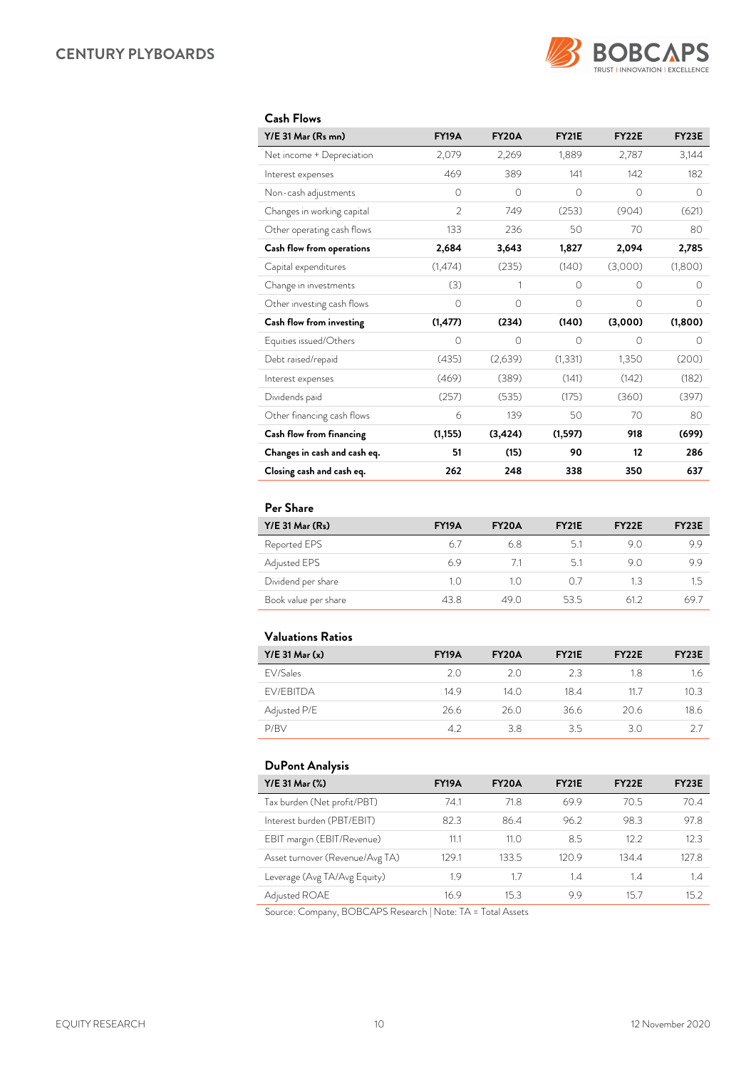

### *Cash Flows*

| Y/E 31 Mar (Rs mn)           | <b>FY19A</b>   | <b>FY20A</b> | <b>FY21E</b> | FY22E    | <b>FY23E</b> |
|------------------------------|----------------|--------------|--------------|----------|--------------|
| Net income + Depreciation    | 2,079          | 2,269        | 1,889        | 2,787    | 3,144        |
| Interest expenses            | 469            | 389          | 141          | 142      | 182          |
| Non-cash adjustments         | $\circ$        | $\circ$      | 0            | 0        | $\circ$      |
| Changes in working capital   | $\overline{2}$ | 749          | (253)        | (904)    | (621)        |
| Other operating cash flows   | 133            | 236          | 50           | 70       | 80           |
| Cash flow from operations    | 2,684          | 3,643        | 1,827        | 2,094    | 2,785        |
| Capital expenditures         | (1,474)        | (235)        | (140)        | (3,000)  | (1,800)      |
| Change in investments        | (3)            | 1            | $\bigcirc$   | $\Omega$ | $\Omega$     |
| Other investing cash flows   | $\circ$        | $\bigcirc$   | $\bigcirc$   | $\Omega$ | $\Omega$     |
| Cash flow from investing     | (1, 477)       | (234)        | (140)        | (3,000)  | (1,800)      |
| Equities issued/Others       | $\circ$        | $\circ$      | 0            | 0        | $\Omega$     |
| Debt raised/repaid           | (435)          | (2,639)      | (1, 331)     | 1,350    | (200)        |
| Interest expenses            | (469)          | (389)        | (141)        | (142)    | (182)        |
| Dividends paid               | (257)          | (535)        | (175)        | (360)    | (397)        |
| Other financing cash flows   | 6              | 139          | 50           | 70       | 80           |
| Cash flow from financing     | (1, 155)       | (3, 424)     | (1,597)      | 918      | (699)        |
| Changes in cash and cash eq. | 51             | (15)         | 90           | 12       | 286          |
| Closing cash and cash eq.    | 262            | 248          | 338          | 350      | 637          |

### *Per Share*

| $Y/E$ 31 Mar $(Rs)$  | <b>FY19A</b> | <b>FY20A</b> | <b>FY21E</b> | FY <sub>2</sub> 2E | FY <sub>23</sub> E |
|----------------------|--------------|--------------|--------------|--------------------|--------------------|
| Reported EPS         | 67           | 68           | 51           | 9 N                | 9.9                |
| Adjusted EPS         | 69           | 71           | 51           | 9 O                | 9.9                |
| Dividend per share   | 1.0          | 10           | 0.7          | 13                 | 1.5                |
| Book value per share | 43.8         | 49.0         | 53.5         | 612                | 69.                |

### *Valuations Ratios*

| $Y/E$ 31 Mar $(x)$ | <b>FY19A</b> | <b>FY20A</b> | <b>FY21E</b> | FY <sub>22</sub> E | FY <sub>23</sub> E |
|--------------------|--------------|--------------|--------------|--------------------|--------------------|
| FV/Sales           | 20           | 20           | 23           | 18                 | 1.6                |
| <b>FV/FBITDA</b>   | 149          | 14 O         | 184          | 11 7               | 10.3               |
| Adjusted P/E       | 26.6         | 26.0         | 36.6         | 20.6               | 18.6               |
| P/RV               | 42           | 38           | 35           | 30                 |                    |

### *DuPont Analysis*

| Y/E 31 Mar (%)                  | <b>FY19A</b> | FY20A | FY <sub>21</sub> E | FY <sub>22</sub> E | FY <sub>23</sub> E |
|---------------------------------|--------------|-------|--------------------|--------------------|--------------------|
| Tax burden (Net profit/PBT)     | 74.1         | 71.8  | 69.9               | 70.5               | 70.4               |
| Interest burden (PBT/EBIT)      | 82.3         | 86.4  | 96.2               | 98.3               | 97.8               |
| EBIT margin (EBIT/Revenue)      | 11.1         | 11.0  | 8.5                | 12.2               | 12.3               |
| Asset turnover (Revenue/Avg TA) | 129.1        | 133.5 | 120.9              | 134.4              | 127.8              |
| Leverage (Avg TA/Avg Equity)    | 1.9          | 17    | 1.4                | 1.4                | 1.4                |
| Adjusted ROAE                   | 16.9         | 15.3  | 99                 | 15.7               | 152                |

Source: Company, BOBCAPS Research | Note: TA = Total Assets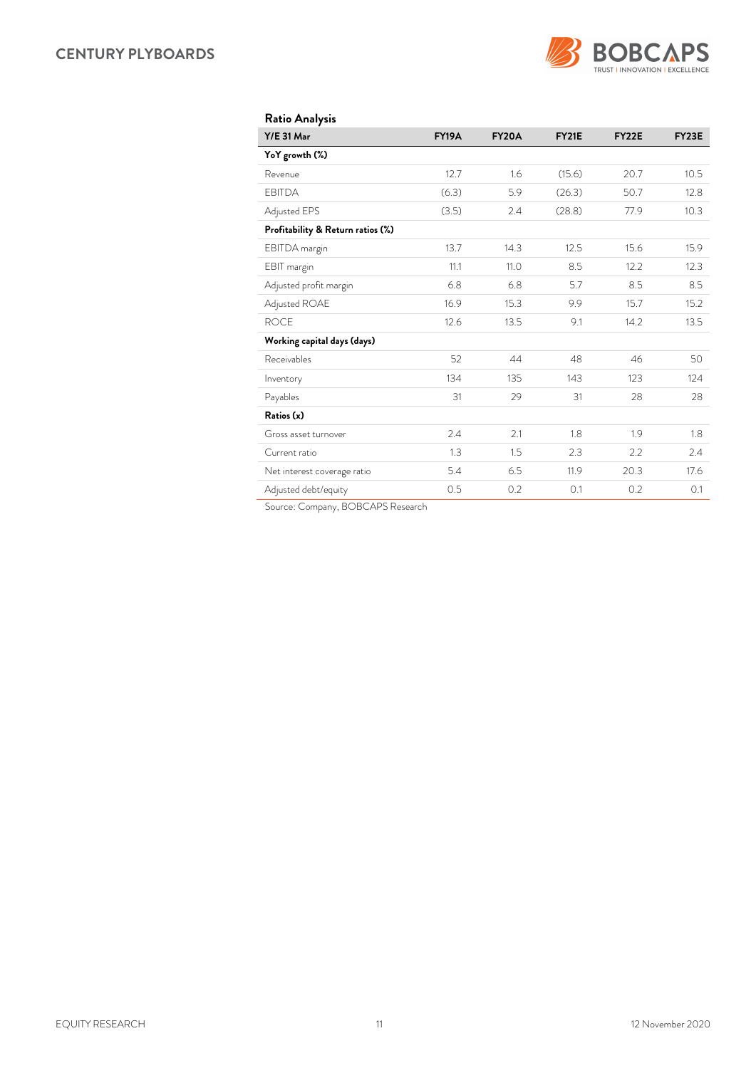

| <b>Ratio Analysis</b> |  |
|-----------------------|--|
|                       |  |

| <b>Y/E 31 Mar</b>                 | <b>FY19A</b> | <b>FY20A</b> | <b>FY21E</b> | FY22E | <b>FY23E</b> |
|-----------------------------------|--------------|--------------|--------------|-------|--------------|
| YoY growth (%)                    |              |              |              |       |              |
| Revenue                           | 12.7         | 1.6          | (15.6)       | 20.7  | 10.5         |
| <b>EBITDA</b>                     | (6.3)        | 5.9          | (26.3)       | 50.7  | 12.8         |
| Adjusted EPS                      | (3.5)        | 2.4          | (28.8)       | 77.9  | 10.3         |
| Profitability & Return ratios (%) |              |              |              |       |              |
| EBITDA margin                     | 13.7         | 14.3         | 12.5         | 15.6  | 15.9         |
| EBIT margin                       | 11.1         | 11.0         | 8.5          | 12.2  | 12.3         |
| Adjusted profit margin            | 6.8          | 6.8          | 5.7          | 8.5   | 8.5          |
| Adjusted ROAE                     | 16.9         | 15.3         | 9.9          | 15.7  | 15.2         |
| <b>ROCE</b>                       | 12.6         | 13.5         | 9.1          | 14.2  | 13.5         |
| Working capital days (days)       |              |              |              |       |              |
| Receivables                       | 52           | 44           | 48           | 46    | 50           |
| Inventory                         | 134          | 135          | 143          | 123   | 124          |
| Payables                          | 31           | 29           | 31           | 28    | 28           |
| Ratios (x)                        |              |              |              |       |              |
| Gross asset turnover              | 2.4          | 2.1          | 1.8          | 1.9   | 1.8          |
| Current ratio                     | 1.3          | 1.5          | 2.3          | 2.2   | 2.4          |
| Net interest coverage ratio       | 5.4          | 6.5          | 11.9         | 20.3  | 17.6         |
| Adjusted debt/equity              | 0.5          | 0.2          | 0.1          | 0.2   | 0.1          |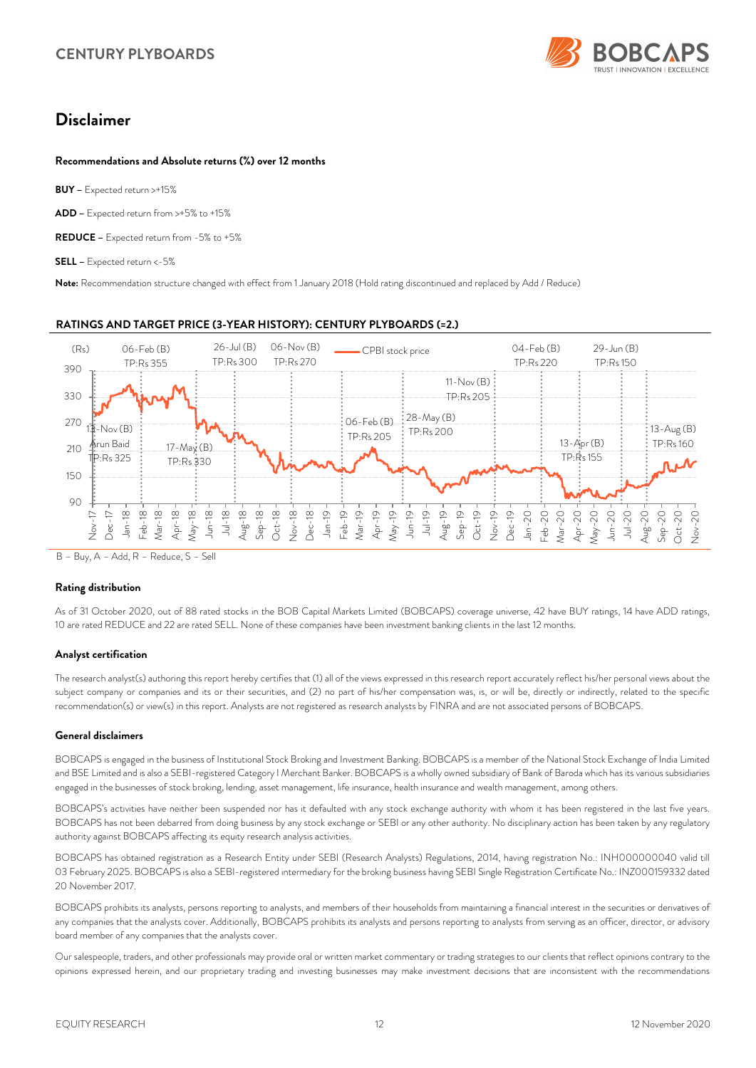

## *Disclaimer*

### *Recommendations and Absolute returns (%) over 12 months*

*BUY –* Expected return >+15%

*ADD –* Expected return from >+5% to +15%

*REDUCE –* Expected return from -5% to +5%

*SELL –* Expected return <-5%

*Note:* Recommendation structure changed with effect from 1 January 2018 (Hold rating discontinued and replaced by Add / Reduce)

### *RATINGS AND TARGET PRICE (3-YEAR HISTORY): CENTURY PLYBOARDS (=2.)*



B – Buy, A – Add, R – Reduce, S – Sell

#### *Rating distribution*

As of 31 October 2020, out of 88 rated stocks in the BOB Capital Markets Limited (BOBCAPS) coverage universe, 42 have BUY ratings, 14 have ADD ratings, 10 are rated REDUCE and 22 are rated SELL. None of these companies have been investment banking clients in the last 12 months.

#### *Analyst certification*

The research analyst(s) authoring this report hereby certifies that (1) all of the views expressed in this research report accurately reflect his/her personal views about the subject company or companies and its or their securities, and (2) no part of his/her compensation was, is, or will be, directly or indirectly, related to the specific recommendation(s) or view(s) in this report. Analysts are not registered as research analysts by FINRA and are not associated persons of BOBCAPS.

#### *General disclaimers*

BOBCAPS is engaged in the business of Institutional Stock Broking and Investment Banking. BOBCAPS is a member of the National Stock Exchange of India Limited and BSE Limited and is also a SEBI-registered Category I Merchant Banker. BOBCAPS is a wholly owned subsidiary of Bank of Baroda which has its various subsidiaries engaged in the businesses of stock broking, lending, asset management, life insurance, health insurance and wealth management, among others.

BOBCAPS's activities have neither been suspended nor has it defaulted with any stock exchange authority with whom it has been registered in the last five years. BOBCAPS has not been debarred from doing business by any stock exchange or SEBI or any other authority. No disciplinary action has been taken by any regulatory authority against BOBCAPS affecting its equity research analysis activities.

BOBCAPS has obtained registration as a Research Entity under SEBI (Research Analysts) Regulations, 2014, having registration No.: INH000000040 valid till 03 February 2025. BOBCAPS is also a SEBI-registered intermediary for the broking business having SEBI Single Registration Certificate No.: INZ000159332 dated 20 November 2017.

BOBCAPS prohibits its analysts, persons reporting to analysts, and members of their households from maintaining a financial interest in the securities or derivatives of any companies that the analysts cover. Additionally, BOBCAPS prohibits its analysts and persons reporting to analysts from serving as an officer, director, or advisory board member of any companies that the analysts cover.

Our salespeople, traders, and other professionals may provide oral or written market commentary or trading strategies to our clients that reflect opinions contrary to the opinions expressed herein, and our proprietary trading and investing businesses may make investment decisions that are inconsistent with the recommendations